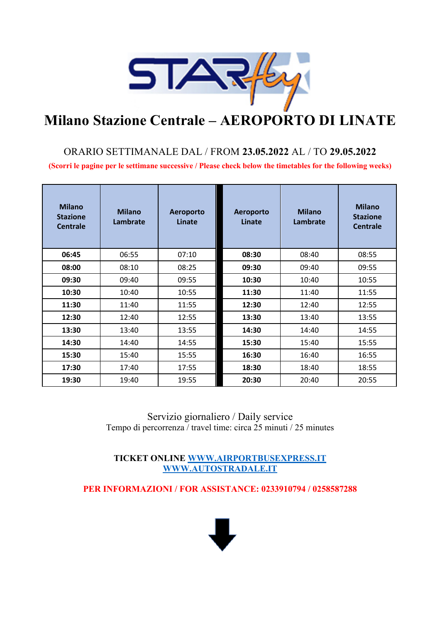

## **Milano Stazione Centrale – AEROPORTO DI LINATE**

### ORARIO SETTIMANALE DAL / FROM **23.05.2022** AL / TO **29.05.2022**

**(Scorri le pagine per le settimane successive / Please check below the timetables for the following weeks)**

| <b>Milano</b><br><b>Stazione</b><br><b>Centrale</b> | <b>Milano</b><br>Lambrate | Aeroporto<br>Linate | Aeroporto<br>Linate | <b>Milano</b><br>Lambrate | <b>Milano</b><br><b>Stazione</b><br><b>Centrale</b> |
|-----------------------------------------------------|---------------------------|---------------------|---------------------|---------------------------|-----------------------------------------------------|
| 06:45                                               | 06:55                     | 07:10               | 08:30               | 08:40                     | 08:55                                               |
| 08:00                                               | 08:10                     | 08:25               | 09:30               | 09:40                     | 09:55                                               |
| 09:30                                               | 09:40                     | 09:55               | 10:30               | 10:40                     | 10:55                                               |
| 10:30                                               | 10:40                     | 10:55               | 11:30               | 11:40                     | 11:55                                               |
| 11:30                                               | 11:40                     | 11:55               | 12:30               | 12:40                     | 12:55                                               |
| 12:30                                               | 12:40                     | 12:55               | 13:30               | 13:40                     | 13:55                                               |
| 13:30                                               | 13:40                     | 13:55               | 14:30               | 14:40                     | 14:55                                               |
| 14:30                                               | 14:40                     | 14:55               | 15:30               | 15:40                     | 15:55                                               |
| 15:30                                               | 15:40                     | 15:55               | 16:30               | 16:40                     | 16:55                                               |
| 17:30                                               | 17:40                     | 17:55               | 18:30               | 18:40                     | 18:55                                               |
| 19:30                                               | 19:40                     | 19:55               | 20:30               | 20:40                     | 20:55                                               |

Servizio giornaliero / Daily service Tempo di percorrenza / travel time: circa 25 minuti / 25 minutes

**TICKET ONLINE WWW.AIRPORTBUSEXPRESS.IT WWW.AUTOSTRADALE.IT**

**PER INFORMAZIONI / FOR ASSISTANCE: 0233910794 / 0258587288**

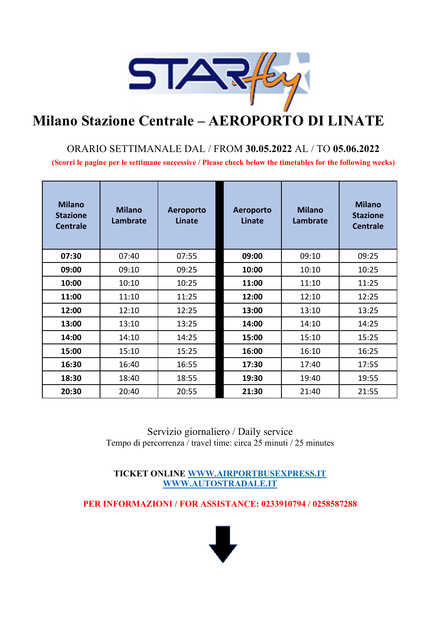

# **Milano Stazione Centrale – AEROPORTO DI LINATE**

### ORARIO SETTIMANALE DAL / FROM **30.05.2022** AL / TO **05.06.2022 (Scorri le pagine per le settimane successive / Please check below the timetables for the following weeks)**

| <b>Milano</b><br><b>Stazione</b><br><b>Centrale</b> | <b>Milano</b><br>Lambrate | Aeroporto<br>Linate | Aeroporto<br>Linate | <b>Milano</b><br><b>Lambrate</b> | <b>Milano</b><br><b>Stazione</b><br><b>Centrale</b> |
|-----------------------------------------------------|---------------------------|---------------------|---------------------|----------------------------------|-----------------------------------------------------|
| 07:30                                               | 07:40                     | 07:55               | 09:00               | 09:10                            | 09:25                                               |
| 09:00                                               | 09:10                     | 09:25               | 10:00               | 10:10                            | 10:25                                               |
| 10:00                                               | 10:10                     | 10:25               | 11:00               | 11:10                            | 11:25                                               |
| 11:00                                               | 11:10                     | 11:25               | 12:00               | 12:10                            | 12:25                                               |
| 12:00                                               | 12:10                     | 12:25               | 13:00               | 13:10                            | 13:25                                               |
| 13:00                                               | 13:10                     | 13:25               | 14:00               | 14:10                            | 14:25                                               |
| 14:00                                               | 14:10                     | 14:25               | 15:00               | 15:10                            | 15:25                                               |
| 15:00                                               | 15:10                     | 15:25               | 16:00               | 16:10                            | 16:25                                               |
| 16:30                                               | 16:40                     | 16:55               | 17:30               | 17:40                            | 17:55                                               |
| 18:30                                               | 18:40                     | 18:55               | 19:30               | 19:40                            | 19:55                                               |
| 20:30                                               | 20:40                     | 20:55               | 21:30               | 21:40                            | 21:55                                               |

Servizio giornaliero / Daily service Tempo di percorrenza / travel time: circa 25 minuti / 25 minutes

**TICKET ONLINE WWW.AIRPORTBUSEXPRESS.IT WWW.AUTOSTRADALE.IT**

**PER INFORMAZIONI / FOR ASSISTANCE: 0233910794 / 0258587288**